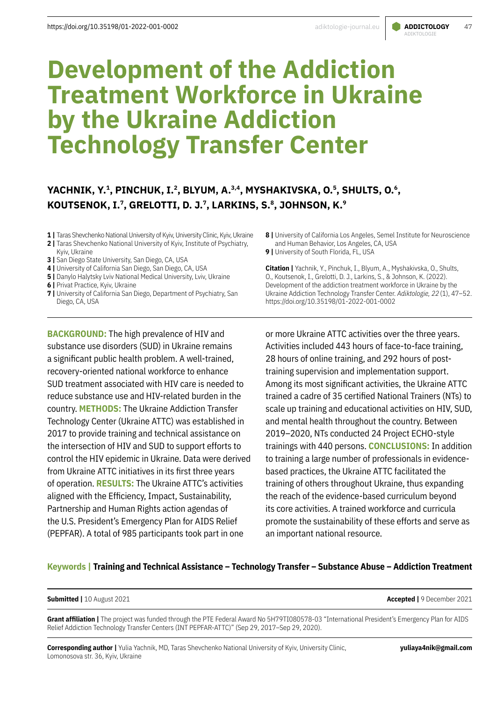# ADIKTOLOGIE

# **Development of the Addiction Treatment Workforce in Ukraine by the Ukraine Addiction Technology Transfer Center**

# YACHNIK, Y.<sup>1</sup>, PINCHUK, I.<sup>2</sup>, BLYUM, A.<sup>3,4</sup>, MYSHAKIVSKA, O.<sup>5</sup>, SHULTS, O.<sup>6</sup>, KOUTSENOK, I.<sup>7</sup>, GRELOTTI, D. J.<sup>7</sup>, LARKINS, S.<sup>8</sup>, JOHNSON, K.<sup>9</sup>

- **1 |** Taras Shevchenko National University of Kyiv, University Clinic, Kyiv, Ukraine
- **2 |** Taras Shevchenko National University of Kyiv, Institute of Psychiatry, Kyiv, Ukraine
- **3 |** San Diego State University, San Diego, CA, USA
- **4 |** University of California San Diego, San Diego, CA, USA
- **5 | Danylo Halytsky Lviv National Medical University, Lviv, Ukraine**
- **6** | Privat Practice, Kyiv, Ukraine
- **7** University of California San Diego, Department of Psychiatry, San Diego, CA, USA

**BACKGROUND:** The high prevalence of HIV and substance use disorders (SUD) in Ukraine remains a significant public health problem. A well-trained, recovery-oriented national workforce to enhance SUD treatment associated with HIV care is needed to reduce substance use and HIV-related burden in the country. **METHODS:** The Ukraine Addiction Transfer Technology Center (Ukraine ATTC) was established in 2017 to provide training and technical assistance on the intersection of HIV and SUD to support efforts to control the HIV epidemic in Ukraine. Data were derived from Ukraine ATTC initiatives in its first three years of operation. **RESULTS:** The Ukraine ATTC's activities aligned with the Efficiency, Impact, Sustainability, Partnership and Human Rights action agendas of the U.S. President's Emergency Plan for AIDS Relief (PEPFAR). A total of 985 participants took part in one

- **8 |** University of California Los Angeles, Semel Institute for Neuroscience and Human Behavior, Los Angeles, CA, USA
- **9 | University of South Florida, FL, USA**

**Citation |** Yachnik, Y., Pinchuk, I., Blyum, A., Myshakivska, O., Shults, O., Koutsenok, I., Grelotti, D. J., Larkins, S., & Johnson, K. (2022). Development of the addiction treatment workforce in Ukraine by the Ukraine Addiction Technology Transfer Center. *Adiktologie, 22*(1), 47–52. https://doi.org/10.35198/01-2022-001-0002

or more Ukraine ATTC activities over the three years. Activities included 443 hours of face-to-face training, 28 hours of online training, and 292 hours of posttraining supervision and implementation support. Among its most significant activities, the Ukraine ATTC trained a cadre of 35 certified National Trainers (NTs) to scale up training and educational activities on HIV, SUD, and mental health throughout the country. Between 2019–2020, NTs conducted 24 Project ECHO-style trainings with 440 persons. **CONCLUSIONS:** In addition to training a large number of professionals in evidencebased practices, the Ukraine ATTC facilitated the training of others throughout Ukraine, thus expanding the reach of the evidence-based curriculum beyond its core activities. A trained workforce and curricula promote the sustainability of these efforts and serve as an important national resource.

### **Keywords | Training and Technical Assistance – Technology Transfer – Substance Abuse – Addiction Treatment**

**Submitted |** 10 August 2021 **Accepted |** 9 December 2021

Grant affiliation | The project was funded through the PTE Federal Award No 5H79TI080578-03 "International President's Emergency Plan for AIDS Relief Addiction Technology Transfer Centers (INT PEPFAR-ATTC)" (Sep 29, 2017–Sep 29, 2020).

**Corresponding author |** Yulia Yachnik, MD, Taras Shevchenko National University of Kyiv, University Clinic, Lomonosova str. 36, Kyiv, Ukraine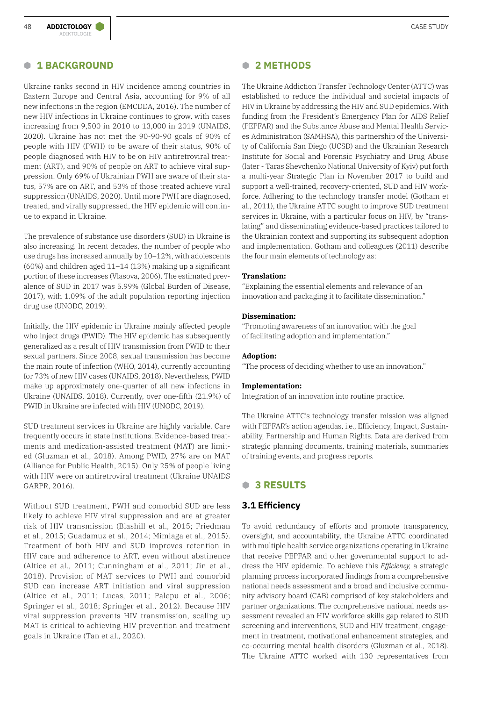#### **B 1 BACKGROUND**

Ukraine ranks second in HIV incidence among countries in Eastern Europe and Central Asia, accounting for 9% of all new infections in the region (EMCDDA, 2016). The number of new HIV infections in Ukraine continues to grow, with cases increasing from 9,500 in 2010 to 13,000 in 2019 (UNAIDS, 2020). Ukraine has not met the 90-90-90 goals of 90% of people with HIV (PWH) to be aware of their status, 90% of people diagnosed with HIV to be on HIV antiretroviral treatment (ART), and 90% of people on ART to achieve viral suppression. Only 69% of Ukrainian PWH are aware of their status, 57% are on ART, and 53% of those treated achieve viral suppression (UNAIDS, 2020). Until more PWH are diagnosed, treated, and virally suppressed, the HIV epidemic will continue to expand in Ukraine.

The prevalence of substance use disorders (SUD) in Ukraine is also increasing. In recent decades, the number of people who use drugs has increased annually by 10–12%, with adolescents (60%) and children aged 11–14 (13%) making up a significant portion of these increases (Vlasova, 2006). The estimated prevalence of SUD in 2017 was 5.99% (Global Burden of Disease, 2017), with 1.09% of the adult population reporting injection drug use (UNODC, 2019).

Initially, the HIV epidemic in Ukraine mainly affected people who inject drugs (PWID). The HIV epidemic has subsequently generalized as a result of HIV transmission from PWID to their sexual partners. Since 2008, sexual transmission has become the main route of infection (WHO, 2014), currently accounting for 73% of new HIV cases (UNAIDS, 2018). Nevertheless, PWID make up approximately one-quarter of all new infections in Ukraine (UNAIDS, 2018). Currently, over one-fifth (21.9%) of PWID in Ukraine are infected with HIV (UNODC, 2019).

SUD treatment services in Ukraine are highly variable. Care frequently occurs in state institutions. Evidence-based treatments and medication-assisted treatment (MAT) are limited (Gluzman et al., 2018). Among PWID, 27% are on MAT (Alliance for Public Health, 2015). Only 25% of people living with HIV were on antiretroviral treatment (Ukraine UNAIDS GARPR, 2016).

Without SUD treatment, PWH and comorbid SUD are less likely to achieve HIV viral suppression and are at greater risk of HIV transmission (Blashill et al., 2015; Friedman et al., 2015; Guadamuz et al., 2014; Mimiaga et al., 2015). Treatment of both HIV and SUD improves retention in HIV care and adherence to ART, even without abstinence (Altice et al., 2011; Cunningham et al., 2011; Jin et al., 2018). Provision of MAT services to PWH and comorbid SUD can increase ART initiation and viral suppression (Altice et al., 2011; Lucas, 2011; Palepu et al., 2006; Springer et al., 2018; Springer et al., 2012). Because HIV viral suppression prevents HIV transmission, scaling up MAT is critical to achieving HIV prevention and treatment goals in Ukraine (Tan et al., 2020).

#### **B 2 METHODS**

The Ukraine Addiction Transfer Technology Center (ATTC) was established to reduce the individual and societal impacts of HIV in Ukraine by addressing the HIV and SUD epidemics. With funding from the President's Emergency Plan for AIDS Relief (PEPFAR) and the Substance Abuse and Mental Health Services Administration (SAMHSA), this partnership of the University of California San Diego (UCSD) and the Ukrainian Research Institute for Social and Forensic Psychiatry and Drug Abuse (later - Taras Shevchenko National University of Kyiv) put forth a multi-year Strategic Plan in November 2017 to build and support a well-trained, recovery-oriented, SUD and HIV workforce. Adhering to the technology transfer model (Gotham et al., 2011), the Ukraine ATTC sought to improve SUD treatment services in Ukraine, with a particular focus on HIV, by "translating" and disseminating evidence-based practices tailored to the Ukrainian context and supporting its subsequent adoption and implementation. Gotham and colleagues (2011) describe the four main elements of technology as:

#### **Translation:**

"Explaining the essential elements and relevance of an innovation and packaging it to facilitate dissemination."

#### **Dissemination:**

"Promoting awareness of an innovation with the goal of facilitating adoption and implementation."

#### **Adoption:**

"The process of deciding whether to use an innovation."

#### **Implementation:**

Integration of an innovation into routine practice.

The Ukraine ATTC's technology transfer mission was aligned with PEPFAR's action agendas, i.e., Efficiency, Impact, Sustainability, Partnership and Human Rights. Data are derived from strategic planning documents, training materials, summaries of training events, and progress reports.

#### **B 3 RESULTS**

#### **3.1 Efficiency**

To avoid redundancy of efforts and promote transparency, oversight, and accountability, the Ukraine ATTC coordinated with multiple health service organizations operating in Ukraine that receive PEPFAR and other governmental support to address the HIV epidemic. To achieve this *Efficiency,* a strategic planning process incorporated findings from a comprehensive national needs assessment and a broad and inclusive community advisory board (CAB) comprised of key stakeholders and partner organizations. The comprehensive national needs assessment revealed an HIV workforce skills gap related to SUD screening and interventions, SUD and HIV treatment, engagement in treatment, motivational enhancement strategies, and co-occurring mental health disorders (Gluzman et al., 2018). The Ukraine ATTC worked with 130 representatives from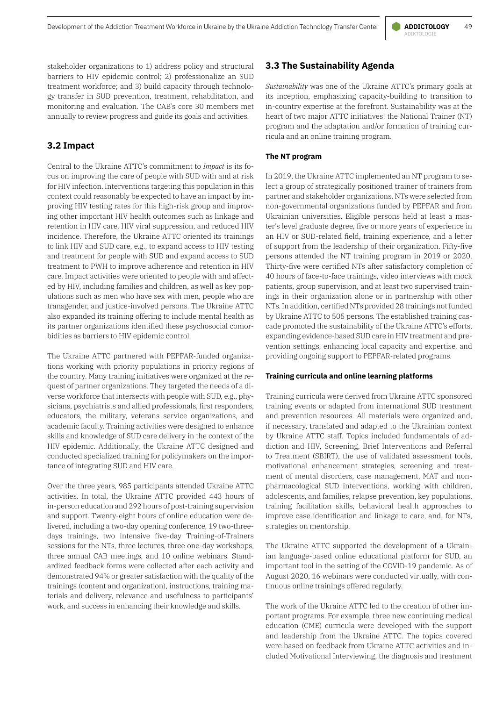stakeholder organizations to 1) address policy and structural barriers to HIV epidemic control; 2) professionalize an SUD treatment workforce; and 3) build capacity through technology transfer in SUD prevention, treatment, rehabilitation, and monitoring and evaluation. The CAB's core 30 members met annually to review progress and guide its goals and activities.

# **3.2 Impact**

Central to the Ukraine ATTC's commitment to *Impact* is its focus on improving the care of people with SUD with and at risk for HIV infection. Interventions targeting this population in this context could reasonably be expected to have an impact by improving HIV testing rates for this high-risk group and improving other important HIV health outcomes such as linkage and retention in HIV care, HIV viral suppression, and reduced HIV incidence. Therefore, the Ukraine ATTC oriented its trainings to link HIV and SUD care, e.g., to expand access to HIV testing and treatment for people with SUD and expand access to SUD treatment to PWH to improve adherence and retention in HIV care. Impact activities were oriented to people with and affected by HIV, including families and children, as well as key populations such as men who have sex with men, people who are transgender, and justice-involved persons. The Ukraine ATTC also expanded its training offering to include mental health as its partner organizations identified these psychosocial comorbidities as barriers to HIV epidemic control.

The Ukraine ATTC partnered with PEPFAR-funded organizations working with priority populations in priority regions of the country. Many training initiatives were organized at the request of partner organizations. They targeted the needs of a diverse workforce that intersects with people with SUD, e.g., physicians, psychiatrists and allied professionals, first responders, educators, the military, veterans service organizations, and academic faculty. Training activities were designed to enhance skills and knowledge of SUD care delivery in the context of the HIV epidemic. Additionally, the Ukraine ATTC designed and conducted specialized training for policymakers on the importance of integrating SUD and HIV care.

Over the three years, 985 participants attended Ukraine ATTC activities. In total, the Ukraine ATTC provided 443 hours of in-person education and 292 hours of post-training supervision and support. Twenty-eight hours of online education were delivered, including a two-day opening conference, 19 two-threedays trainings, two intensive five-day Training-of-Trainers sessions for the NTs, three lectures, three one-day workshops, three annual CAB meetings, and 10 online webinars. Standardized feedback forms were collected after each activity and demonstrated 94% or greater satisfaction with the quality of the trainings (content and organization), instructions, training materials and delivery, relevance and usefulness to participants' work, and success in enhancing their knowledge and skills.

### **3.3 The Sustainability Agenda**

*Sustainability* was one of the Ukraine ATTC's primary goals at its inception, emphasizing capacity-building to transition to in-country expertise at the forefront. Sustainability was at the heart of two major ATTC initiatives: the National Trainer (NT) program and the adaptation and/or formation of training curricula and an online training program.

#### **The NT program**

In 2019, the Ukraine ATTC implemented an NT program to select a group of strategically positioned trainer of trainers from partner and stakeholder organizations. NTs were selected from non-governmental organizations funded by PEPFAR and from Ukrainian universities. Eligible persons held at least a master's level graduate degree, five or more years of experience in an HIV or SUD-related field, training experience, and a letter of support from the leadership of their organization. Fifty-five persons attended the NT training program in 2019 or 2020. Thirty-five were certified NTs after satisfactory completion of 40 hours of face-to-face trainings, video interviews with mock patients, group supervision, and at least two supervised trainings in their organization alone or in partnership with other NTs. In addition, certified NTs provided 28 trainings not funded by Ukraine ATTC to 505 persons. The established training cascade promoted the sustainability of the Ukraine ATTC's efforts, expanding evidence-based SUD care in HIV treatment and prevention settings, enhancing local capacity and expertise, and providing ongoing support to PEPFAR-related programs.

#### **Training curricula and online learning platforms**

Training curricula were derived from Ukraine ATTC sponsored training events or adapted from international SUD treatment and prevention resources. All materials were organized and, if necessary, translated and adapted to the Ukrainian context by Ukraine ATTC staff. Topics included fundamentals of addiction and HIV, Screening, Brief Interventions and Referral to Treatment (SBIRT), the use of validated assessment tools, motivational enhancement strategies, screening and treatment of mental disorders, case management, MAT and nonpharmacological SUD interventions, working with children, adolescents, and families, relapse prevention, key populations, training facilitation skills, behavioral health approaches to improve case identification and linkage to care, and, for NTs, strategies on mentorship.

The Ukraine ATTC supported the development of a Ukrainian language-based online educational platform for SUD, an important tool in the setting of the COVID-19 pandemic. As of August 2020, 16 webinars were conducted virtually, with continuous online trainings offered regularly.

The work of the Ukraine ATTC led to the creation of other important programs. For example, three new continuing medical education (CME) curricula were developed with the support and leadership from the Ukraine ATTC. The topics covered were based on feedback from Ukraine ATTC activities and included Motivational Interviewing, the diagnosis and treatment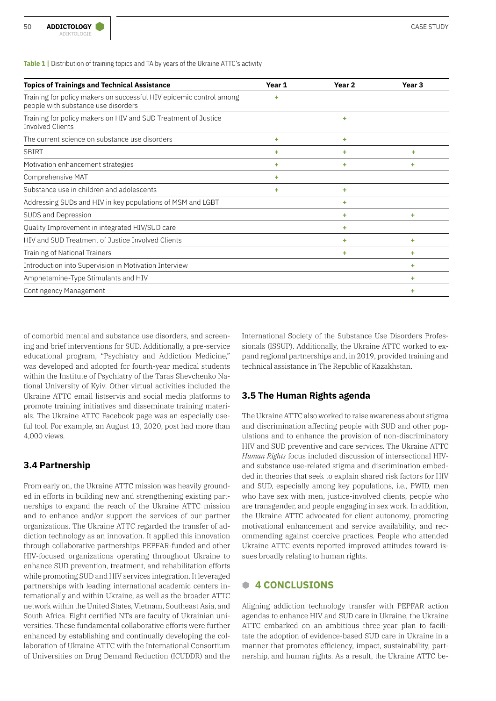**Table 1 |** Distribution of training topics and TA by years of the Ukraine ATTC's activity

| <b>Topics of Trainings and Technical Assistance</b>                                                        | Year 1 | Year <sub>2</sub> | Year 3 |
|------------------------------------------------------------------------------------------------------------|--------|-------------------|--------|
| Training for policy makers on successful HIV epidemic control among<br>people with substance use disorders | ٠      |                   |        |
| Training for policy makers on HIV and SUD Treatment of Justice<br><b>Involved Clients</b>                  |        | ٠                 |        |
| The current science on substance use disorders                                                             | ٠      | ٠                 |        |
| <b>SBIRT</b>                                                                                               | ٠      | ۰                 | ٠      |
| Motivation enhancement strategies                                                                          | ٠      | ٠                 | ٠      |
| Comprehensive MAT                                                                                          | ٠      |                   |        |
| Substance use in children and adolescents                                                                  | ٠      | ٠                 |        |
| Addressing SUDs and HIV in key populations of MSM and LGBT                                                 |        | ٠                 |        |
| SUDS and Depression                                                                                        |        | ٠                 | ٠      |
| Quality Improvement in integrated HIV/SUD care                                                             |        | ٠                 |        |
| HIV and SUD Treatment of Justice Involved Clients                                                          |        | ÷                 | ٠      |
| <b>Training of National Trainers</b>                                                                       |        | ٠                 | ٠      |
| Introduction into Supervision in Motivation Interview                                                      |        |                   | ۰      |
| Amphetamine-Type Stimulants and HIV                                                                        |        |                   | ٠      |
| Contingency Management                                                                                     |        |                   | ٠      |

of comorbid mental and substance use disorders, and screening and brief interventions for SUD. Additionally, a pre-service educational program, "Psychiatry and Addiction Medicine," was developed and adopted for fourth-year medical students within the Institute of Psychiatry of the Taras Shevchenko National University of Kyiv. Other virtual activities included the Ukraine ATTC email listservis and social media platforms to promote training initiatives and disseminate training materials. The Ukraine ATTC Facebook page was an especially useful tool. For example, an August 13, 2020, post had more than 4,000 views.

# **3.4 Partnership**

From early on, the Ukraine ATTC mission was heavily grounded in efforts in building new and strengthening existing partnerships to expand the reach of the Ukraine ATTC mission and to enhance and/or support the services of our partner organizations. The Ukraine ATTC regarded the transfer of addiction technology as an innovation. It applied this innovation through collaborative partnerships PEPFAR-funded and other HIV-focused organizations operating throughout Ukraine to enhance SUD prevention, treatment, and rehabilitation efforts while promoting SUD and HIV services integration. It leveraged partnerships with leading international academic centers internationally and within Ukraine, as well as the broader ATTC network within the United States, Vietnam, Southeast Asia, and South Africa. Eight certified NTs are faculty of Ukrainian universities. These fundamental collaborative efforts were further enhanced by establishing and continually developing the collaboration of Ukraine ATTC with the International Consortium of Universities on Drug Demand Reduction (ICUDDR) and the

International Society of the Substance Use Disorders Professionals (ISSUP). Additionally, the Ukraine ATTC worked to expand regional partnerships and, in 2019, provided training and technical assistance in The Republic of Kazakhstan.

# **3.5 The Human Rights agenda**

The Ukraine ATTC also worked to raise awareness about stigma and discrimination affecting people with SUD and other populations and to enhance the provision of non-discriminatory HIV and SUD preventive and care services. The Ukraine ATTC *Human Rights* focus included discussion of intersectional HIVand substance use-related stigma and discrimination embedded in theories that seek to explain shared risk factors for HIV and SUD, especially among key populations, i.e., PWID, men who have sex with men, justice-involved clients, people who are transgender, and people engaging in sex work. In addition, the Ukraine ATTC advocated for client autonomy, promoting motivational enhancement and service availability, and recommending against coercive practices. People who attended Ukraine ATTC events reported improved attitudes toward issues broadly relating to human rights.

# **B 4 CONCLUSIONS**

Aligning addiction technology transfer with PEPFAR action agendas to enhance HIV and SUD care in Ukraine, the Ukraine ATTC embarked on an ambitious three-year plan to facilitate the adoption of evidence-based SUD care in Ukraine in a manner that promotes efficiency, impact, sustainability, partnership, and human rights. As a result, the Ukraine ATTC be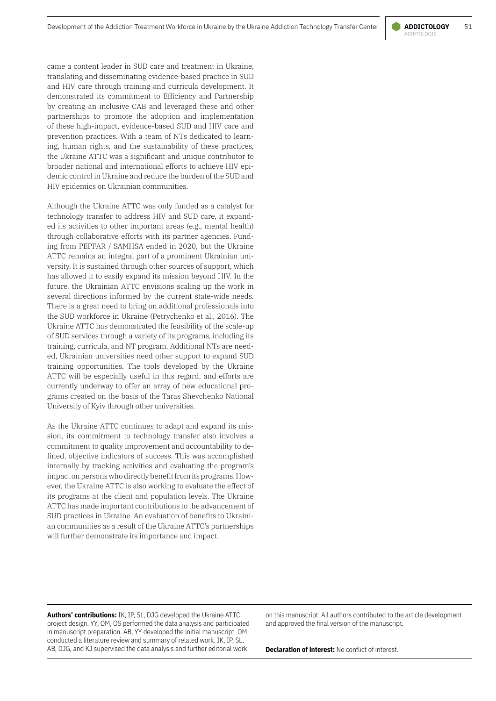came a content leader in SUD care and treatment in Ukraine, translating and disseminating evidence-based practice in SUD and HIV care through training and curricula development. It demonstrated its commitment to Efficiency and Partnership by creating an inclusive CAB and leveraged these and other partnerships to promote the adoption and implementation of these high-impact, evidence-based SUD and HIV care and prevention practices. With a team of NTs dedicated to learning, human rights, and the sustainability of these practices, the Ukraine ATTC was a significant and unique contributor to broader national and international efforts to achieve HIV epidemic control in Ukraine and reduce the burden of the SUD and HIV epidemics on Ukrainian communities.

Although the Ukraine ATTC was only funded as a catalyst for technology transfer to address HIV and SUD care, it expanded its activities to other important areas (e.g., mental health) through collaborative efforts with its partner agencies. Funding from PEPFAR / SAMHSA ended in 2020, but the Ukraine ATTC remains an integral part of a prominent Ukrainian university. It is sustained through other sources of support, which has allowed it to easily expand its mission beyond HIV. In the future, the Ukrainian ATTC envisions scaling up the work in several directions informed by the current state-wide needs. There is a great need to bring on additional professionals into the SUD workforce in Ukraine (Petrychenko et al., 2016). The Ukraine ATTC has demonstrated the feasibility of the scale-up of SUD services through a variety of its programs, including its training, curricula, and NT program. Additional NTs are needed, Ukrainian universities need other support to expand SUD training opportunities. The tools developed by the Ukraine ATTC will be especially useful in this regard, and efforts are currently underway to offer an array of new educational programs created on the basis of the Taras Shevchenko National University of Kyiv through other universities.

As the Ukraine ATTC continues to adapt and expand its mission, its commitment to technology transfer also involves a commitment to quality improvement and accountability to defined, objective indicators of success. This was accomplished internally by tracking activities and evaluating the program's impact on persons who directly benefit from its programs. However, the Ukraine ATTC is also working to evaluate the effect of its programs at the client and population levels. The Ukraine ATTC has made important contributions to the advancement of SUD practices in Ukraine. An evaluation of benefits to Ukrainian communities as a result of the Ukraine ATTC's partnerships will further demonstrate its importance and impact.

> on this manuscript. All authors contributed to the article development and approved the final version of the manuscript.

**Authors' contributions:** IK, IP, SL, DJG developed the Ukraine ATTC project design. YY, OM, OS performed the data analysis and participated in manuscript preparation. AB, YY developed the initial manuscript. OM conducted a literature review and summary of related work. IK, IP, SL, AB, DJG, and KJ supervised the data analysis and further editorial work

**Declaration of interest:** No conflict of interest.